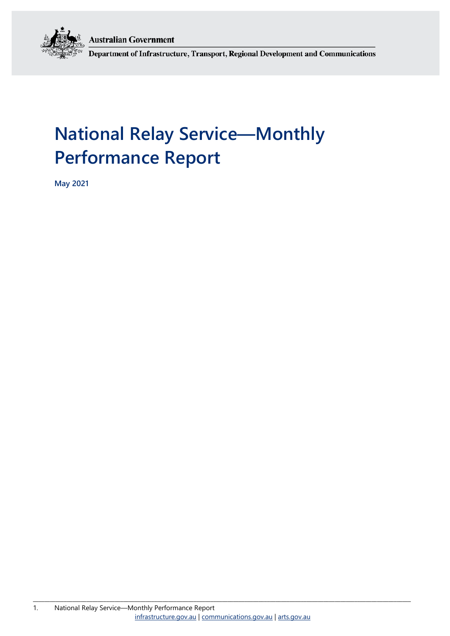**Australian Government** 



Department of Infrastructure, Transport, Regional Development and Communications

# **National Relay Service—Monthly Performance Report**

**May 2021**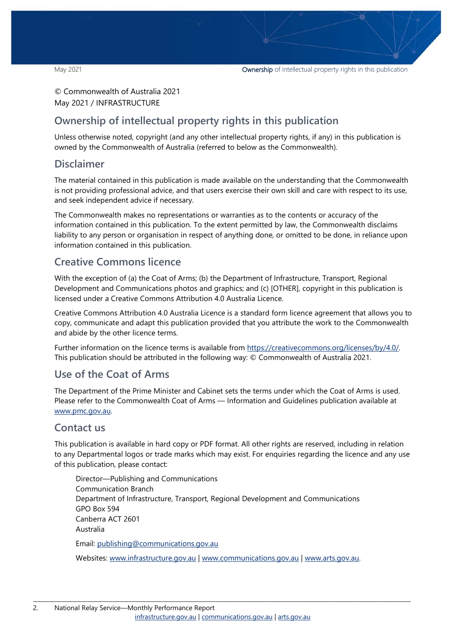### © Commonwealth of Australia 2021 May 2021 / INFRASTRUCTURE

## **Ownership of intellectual property rights in this publication**

Unless otherwise noted, copyright (and any other intellectual property rights, if any) in this publication is owned by the Commonwealth of Australia (referred to below as the Commonwealth).

### **Disclaimer**

The material contained in this publication is made available on the understanding that the Commonwealth is not providing professional advice, and that users exercise their own skill and care with respect to its use, and seek independent advice if necessary.

The Commonwealth makes no representations or warranties as to the contents or accuracy of the information contained in this publication. To the extent permitted by law, the Commonwealth disclaims liability to any person or organisation in respect of anything done, or omitted to be done, in reliance upon information contained in this publication.

## **Creative Commons licence**

With the exception of (a) the Coat of Arms; (b) the Department of Infrastructure, Transport, Regional Development and Communications photos and graphics; and (c) [OTHER], copyright in this publication is licensed under a Creative Commons Attribution 4.0 Australia Licence.

Creative Commons Attribution 4.0 Australia Licence is a standard form licence agreement that allows you to copy, communicate and adapt this publication provided that you attribute the work to the Commonwealth and abide by the other licence terms.

Further information on the licence terms is available from [https://creativecommons.org/licenses/by/4.0/.](https://creativecommons.org/licenses/by/4.0/) This publication should be attributed in the following way: © Commonwealth of Australia 2021.

## **Use of the Coat of Arms**

The Department of the Prime Minister and Cabinet sets the terms under which the Coat of Arms is used. Please refer to the Commonwealth Coat of Arms — Information and Guidelines publication available at [www.pmc.gov.au.](http://www.pmc.gov.au/) 

### **Contact us**

This publication is available in hard copy or PDF format. All other rights are reserved, including in relation to any Departmental logos or trade marks which may exist. For enquiries regarding the licence and any use of this publication, please contact:

Director—Publishing and Communications Communication Branch Department of Infrastructure, Transport, Regional Development and Communications GPO Box 594 Canberra ACT 2601 Australia Email: [publishing@communications.gov.au](mailto:publishing@communications.gov.au)

Websites: [www.infrastructure.gov.au](http://www.infrastructure.gov.au/) | [www.communications.gov.au](http://www.communications.gov.au/) | [www.arts.gov.au.](http://www.arts.gov.au/)

\_\_\_\_\_\_\_\_\_\_\_\_\_\_\_\_\_\_\_\_\_\_\_\_\_\_\_\_\_\_\_\_\_\_\_\_\_\_\_\_\_\_\_\_\_\_\_\_\_\_\_\_\_\_\_\_\_\_\_\_\_\_\_\_\_\_\_\_\_\_\_\_\_\_\_\_\_\_\_\_\_\_\_\_\_\_\_\_\_\_\_\_\_\_\_\_\_\_\_\_\_\_\_\_\_\_\_\_\_\_\_\_\_\_\_\_\_\_\_\_\_\_\_\_\_\_\_\_\_\_\_\_\_\_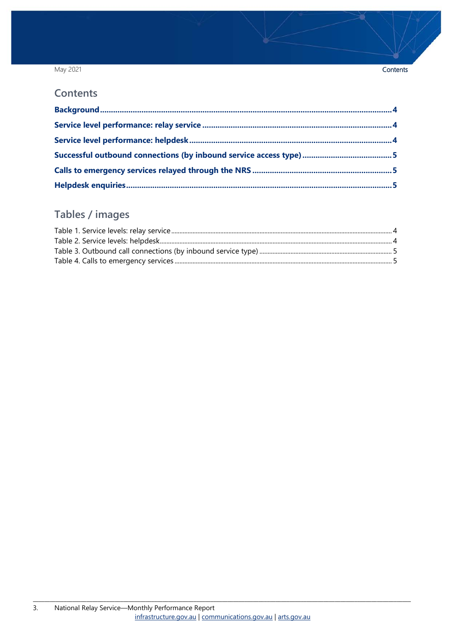### May 2021

### **Contents**

## Tables / images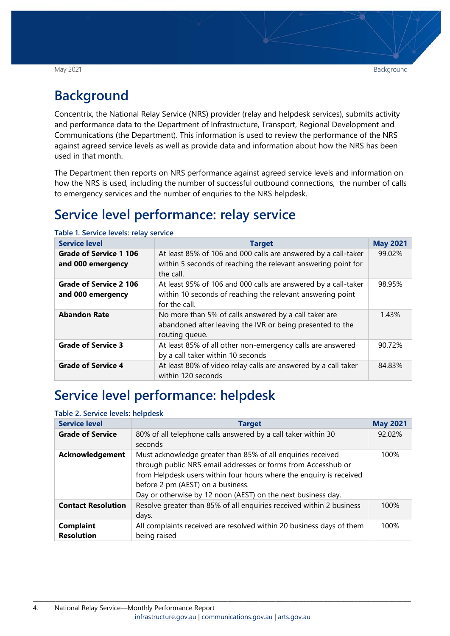## <span id="page-3-0"></span>**Background**

Concentrix, the National Relay Service (NRS) provider (relay and helpdesk services), submits activity and performance data to the Department of Infrastructure, Transport, Regional Development and Communications (the Department). This information is used to review the performance of the NRS against agreed service levels as well as provide data and information about how the NRS has been used in that month.

The Department then reports on NRS performance against agreed service levels and information on how the NRS is used, including the number of successful outbound connections, the number of calls to emergency services and the number of enquries to the NRS helpdesk.

## <span id="page-3-1"></span>**Service level performance: relay service**

| <b>Service level</b>                               | <b>Target</b>                                                                                                                                 | <b>May 2021</b> |
|----------------------------------------------------|-----------------------------------------------------------------------------------------------------------------------------------------------|-----------------|
| <b>Grade of Service 1 106</b><br>and 000 emergency | At least 85% of 106 and 000 calls are answered by a call-taker<br>within 5 seconds of reaching the relevant answering point for<br>the call.  | 99.02%          |
| <b>Grade of Service 2 106</b><br>and 000 emergency | At least 95% of 106 and 000 calls are answered by a call-taker<br>within 10 seconds of reaching the relevant answering point<br>for the call. | 98.95%          |
| <b>Abandon Rate</b>                                | No more than 5% of calls answered by a call taker are<br>abandoned after leaving the IVR or being presented to the<br>routing queue.          | 1.43%           |
| <b>Grade of Service 3</b>                          | At least 85% of all other non-emergency calls are answered<br>by a call taker within 10 seconds                                               | 90.72%          |
| <b>Grade of Service 4</b>                          | At least 80% of video relay calls are answered by a call taker<br>within 120 seconds                                                          | 84.83%          |

<span id="page-3-3"></span>**Table 1. Service levels: relay service**

## <span id="page-3-2"></span>**Service level performance: helpdesk**

### <span id="page-3-4"></span>**Table 2. Service levels: helpdesk**

| <b>Service level</b>                  | <b>Target</b>                                                                                                                                                                                                                                                                                            | <b>May 2021</b> |
|---------------------------------------|----------------------------------------------------------------------------------------------------------------------------------------------------------------------------------------------------------------------------------------------------------------------------------------------------------|-----------------|
| <b>Grade of Service</b>               | 80% of all telephone calls answered by a call taker within 30<br>seconds                                                                                                                                                                                                                                 | 92.02%          |
| <b>Acknowledgement</b>                | Must acknowledge greater than 85% of all enquiries received<br>through public NRS email addresses or forms from Accesshub or<br>from Helpdesk users within four hours where the enquiry is received<br>before 2 pm (AEST) on a business.<br>Day or otherwise by 12 noon (AEST) on the next business day. | 100%            |
| <b>Contact Resolution</b>             | Resolve greater than 85% of all enquiries received within 2 business<br>days.                                                                                                                                                                                                                            | 100%            |
| <b>Complaint</b><br><b>Resolution</b> | All complaints received are resolved within 20 business days of them<br>being raised                                                                                                                                                                                                                     | 100%            |

\_\_\_\_\_\_\_\_\_\_\_\_\_\_\_\_\_\_\_\_\_\_\_\_\_\_\_\_\_\_\_\_\_\_\_\_\_\_\_\_\_\_\_\_\_\_\_\_\_\_\_\_\_\_\_\_\_\_\_\_\_\_\_\_\_\_\_\_\_\_\_\_\_\_\_\_\_\_\_\_\_\_\_\_\_\_\_\_\_\_\_\_\_\_\_\_\_\_\_\_\_\_\_\_\_\_\_\_\_\_\_\_\_\_\_\_\_\_\_\_\_\_\_\_\_\_\_\_\_\_\_\_\_\_